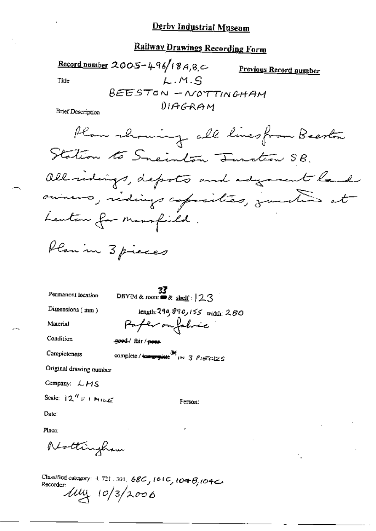# **Railway Drawings Recording Form**

Record number 2005-496/18A, 8,  $\subset$ Previous Record number  $L.M.S$ Title **BEESTON-NOTTINGHAM**  $01AGRAM$ 

**Brief Description** 

Permanent location

DBYIM & room  $\bullet$  shelf:  $23$ 

Dimensions (mm)

Material

length: 290, 890, 155 width: 280 Paper on fobric

Condition Completeness geed/ fair / poes

complete/immediate \*\* IN 3 PIECES

Original drawing number

Company: LMS

$$
Scale: 12'' = 1 \text{ M}
$$

Person:

Date:

Place:

Nottingham

Classified category: 4, 721, 301, 68C, 101C, 104B, 104C Recorder  $\frac{1}{4}$  10/3/2006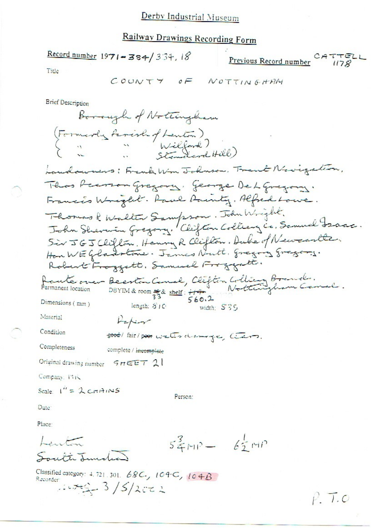$CATTELL$ Previous Record number

Title

$$
COUNTY \quad \theta F \quad \text{NOT} \quad \text{NOT} \quad \text{N.} \quad \text{N.} \quad \text{N.} \quad \text{N.} \quad \text{N.} \quad \text{N.} \quad \text{N.} \quad \text{N.} \quad \text{N.} \quad \text{N.} \quad \text{N.} \quad \text{N.} \quad \text{N.} \quad \text{N.} \quad \text{N.} \quad \text{N.} \quad \text{N.} \quad \text{N.} \quad \text{N.} \quad \text{N.} \quad \text{N.} \quad \text{N.} \quad \text{N.} \quad \text{N.} \quad \text{N.} \quad \text{N.} \quad \text{N.} \quad \text{N.} \quad \text{N.} \quad \text{N.} \quad \text{N.} \quad \text{N.} \quad \text{N.} \quad \text{N.} \quad \text{N.} \quad \text{N.} \quad \text{N.} \quad \text{N.} \quad \text{N.} \quad \text{N.} \quad \text{N.} \quad \text{N.} \quad \text{N.} \quad \text{N.} \quad \text{N.} \quad \text{N.} \quad \text{N.} \quad \text{N.} \quad \text{N.} \quad \text{N.} \quad \text{N.} \quad \text{N.} \quad \text{N.} \quad \text{N.} \quad \text{N.} \quad \text{N.} \quad \text{N.} \quad \text{N.} \quad \text{N.} \quad \text{N.} \quad \text{N.} \quad \text{N.} \quad \text{N.} \quad \text{N.} \quad \text{N.} \quad \text{N.} \quad \text{N.} \quad \text{N.} \quad \text{N.} \quad \text{N.} \quad \text{N.} \quad \text{N.} \quad \text{N.} \quad \text{N.} \quad \text{N.} \quad \text{N.} \quad \text{N.} \quad \text{N.} \quad \text{N.} \quad \text{N.} \quad \text{N.} \quad \text{N.} \quad \text{N.} \quad \text{N.} \quad \text{N.} \quad \text{N.} \quad \text{N.} \quad \text{N.} \quad \text{N.} \quad \text{N.} \quad \text{N.} \quad \text{N.} \
$$

**Brief Description** 

Classified category: 4.721.301. 68C., 104C, 104B

 $P. T.0$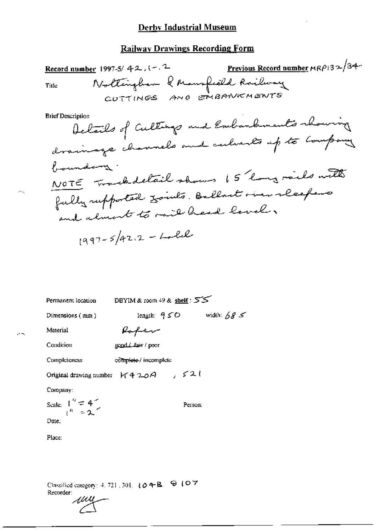$$
1997 - 5/42.2 - L = L
$$

DBYIM & room  $49$  & shelf:  $55$ Permanent location length:  $950$  width:  $685$ Dimensions (mm) Material Rofer Condition  $\texttt{goalList}/\texttt{por}$ Completeness complete / incomplete Original drawing number  $6420A$ ,  $521$ Company:

Scale:  $\begin{array}{c} 1 \n\frac{a}{b} = 4 \\
1 \n\end{array}$ Person: Date:

Place:

Classified category: 4, 721, 301,  $\{0, 4, B, \Theta\}$  (O.7) Recorder:

wu

жų.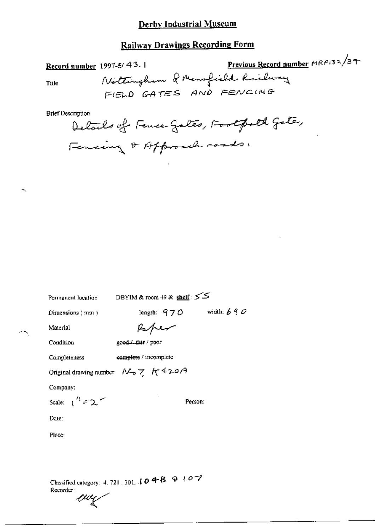### Railway Drawings Recording Form

Previous Record number MRP132/37 Record number 1997-5/43.1 Nottingham & Mensfield Railway Title FIELD GATES AND FENCING

**Brief Description** 

Delails of Fence Gales, Footpold Gate, Fencing & Affraich roads,

Permanent location

DBYIM & room  $+9$  & shelf :  $55$ 

Dimensions (mm)

length:  $970$  width:  $690$ 

Person:

Material

Paper

good/ fair / poor

Condition

Completeness complete / incomplete

Original drawing number  $N_{\text{B}}$   $\gamma$   $\pi$  42.0 A

Company:

Scale:  $\int_1^{t} f(z) dz$ 

Date:

Place<sup>-</sup>

Classified category: 4, 721, 301,  $104B + 8$ Recorder: wy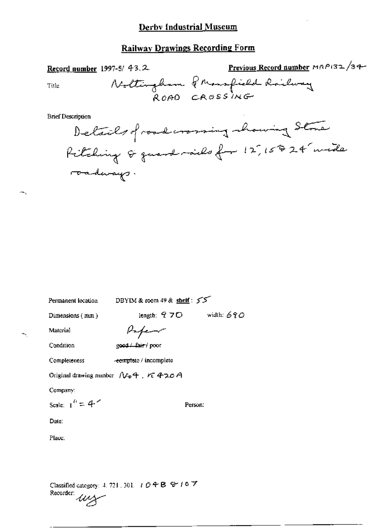|                          | Record number 1997-5/ $43.2$ | Previous Record number MRP132/34- |
|--------------------------|------------------------------|-----------------------------------|
| Title                    |                              | Noltingham Premafield Railway     |
| <b>Brief Description</b> |                              |                                   |

| DBYIM & room $49$ & shelf: $55$<br>Permanent location                                               |                                              |  |
|-----------------------------------------------------------------------------------------------------|----------------------------------------------|--|
| Dimensions (mm)                                                                                     | length: $970$ width: $690$                   |  |
| Material                                                                                            | Paper                                        |  |
| Condition                                                                                           | good./ fair / poor                           |  |
| Completeness                                                                                        | -complete / incomplete                       |  |
|                                                                                                     | Original drawing number $N_0$ + $\tau$ 420 A |  |
| Company:                                                                                            |                                              |  |
| Scale: $\mathbf{1}^k = 4$                                                                           | Person:                                      |  |
| Date:                                                                                               |                                              |  |
| Place:                                                                                              |                                              |  |
|                                                                                                     |                                              |  |
|                                                                                                     |                                              |  |
| Classified category: 4, 721, 301, $+$ $\theta$ $+$ B $ \theta$ $+$ 0 $\mathbb{Z}$<br>Recorder:<br>ш |                                              |  |

 $\sim$ 

∼.

 $\ddot{\phantom{a}}$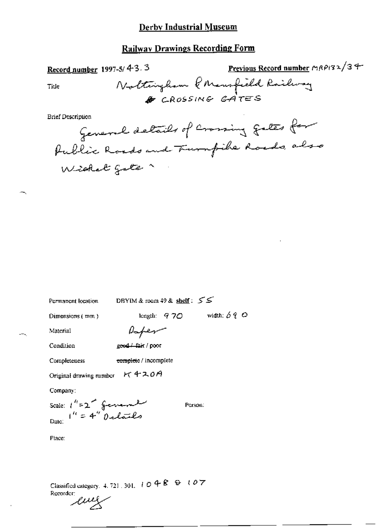### **Railway Drawings Recording Form**

Previous Record number MRP132/34 Record number 1997-5/4-3.3 Nottingham PMensfield Railway Title & CROSSING GATES **Brief Description** General details of crossing gates for Public Roads and Furnfike Roads, also<br>Wisket gate

Permanent location

DBYIM & room 49 & shelf: 55

Dimensions (mm)

length:  $970$  width:  $690$ 

Person:

Paper

good./ fait / poor

Condition

Material

complete / incomplete Completeness

Original drawing number K 420A

Company:

Scale:  $1^{h}$ =2<sup>2</sup> ferrent

Place:

Classified category, 4, 721, 301,  $l \oplus 4R \oplus l \oplus 7$ Recorder:

eviş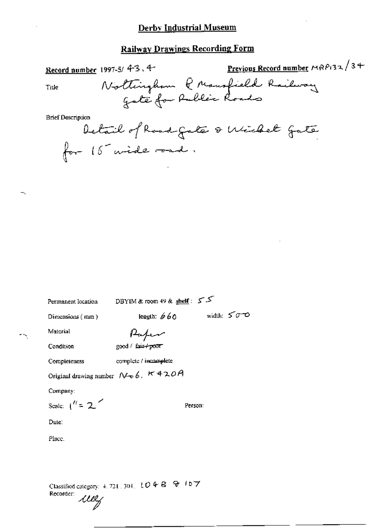### **Railway Drawings Recording Form**

| Record number 1997-5/4-3.4-             | <b>Previous Record number</b> MRP132/3+ |
|-----------------------------------------|-----------------------------------------|
| Nottingham P Mansfield Railway<br>Title |                                         |
|                                         |                                         |
| <b>Brief Description</b>                |                                         |
| Detail of Road Gate & Wichel Gate       |                                         |
| for 15 wide road.                       |                                         |

Permanent location

DBYIM & room 49 & shelf:  $55$ 

Dimensions (mm)

length:  $660$  width:  $500$ 

Material

Paper

good / fair+poor

Condition

Completeness

complete / incomplete

Original drawing number  $N \cdot b$ ,  $K + 20A$ 

Company:

Scale:  $\binom{n}{2}$ 

Person:

Date:

Place.

Classified category: 4, 721, 301, [[O] 4-B [[Q] (6] 7 Recorder: wey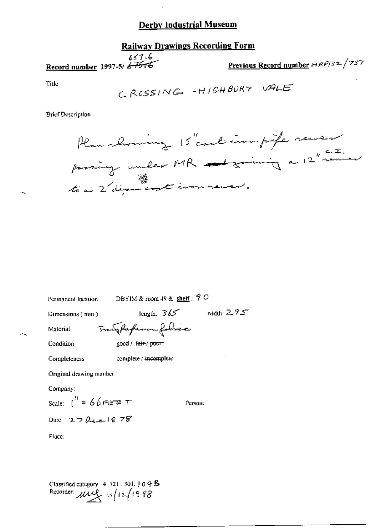### **Railway Drawings Recording Form**

 $657.6$ Record number 1997-5/ 6-75-6

Previous Record number 19RP132/737

Title

CROSSING - HIGHBURY VALE

**Brief Description** 

Plan showing 15" could immpife sever passing under MR advancing a 12" sainer

| Permanent location      | DBYIM & room 49 & shelf: $90$  |               |
|-------------------------|--------------------------------|---------------|
| Dimensions (mun.)       | length: $365$                  | width: $2.75$ |
| Material                | Tracy Parferson folice         |               |
| Condition               | good / f <del>air / poor</del> |               |
| Completeness            | complete / incomplete          |               |
| Original drawing number |                                |               |
| Company:                |                                |               |
| Scale: $1^H = 66$ FET T |                                | Person:       |
| Date: $27$ here $18.78$ |                                |               |
| Place:                  |                                |               |
|                         |                                |               |
|                         |                                |               |

Classified category 4.721.301.104B<br>Recorder:  $\mu \mu \mu$   $\mu$   $\mu$   $\mu$   $\mu$   $\mu$   $\mu$   $\alpha$   $\beta$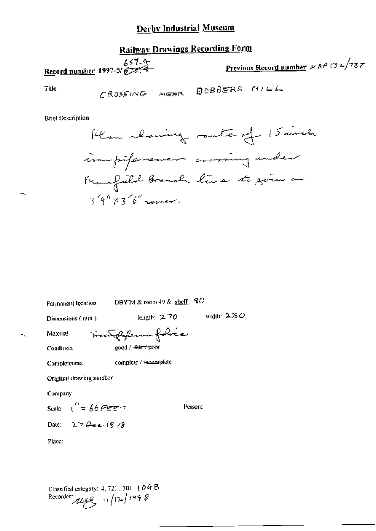# **Railway Drawings Recording Form**

Previous Record number  $A \wedge B$  132/737

**Title** 

CROSSING NEAR BOBBERS MILL

Brief Description



width:  $230$ 

Permanent location

DBYIM & room 49 & shelf: 90

Dimensions (mm)

length: 2.70

Material

Condition

Trentfollowing folice good / fair / pow

complete / incomplete Completeness

Original drawing number

Company:

Scale:  $\frac{1}{2}$  66 FEET

Person:

Date:  $27 \theta = 1878$ 

Place:

Classified category: 4, 721, 301, 1004B Recorder:  $\mu_{\ell}$  + 12/12/1998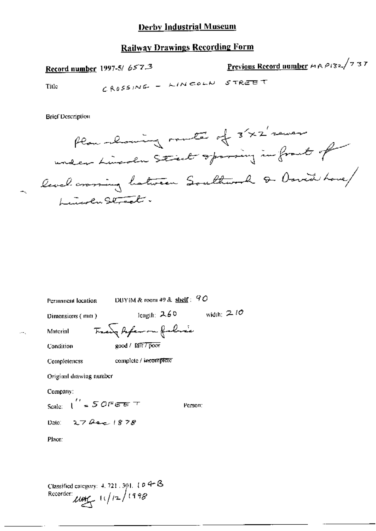### **Railway Drawings Recording Form**

Previous Record number HRP132/737 Record number 1997-5/ 657.3 CROSSING - LINCOLN STREET Title

**Brief Description** 

Plan channing meta of 3'x2' sever under Lücken Steel opining in front of level crossing hatween Southwork & David Love/ Lunch Street.

| Permanent location                             | DBYIM & room 49 & shelf: $90$ |              |  |
|------------------------------------------------|-------------------------------|--------------|--|
| Dimensions (mm)                                | length: $2.60$                | width: $210$ |  |
| Material                                       | Tracy Arfeman falsace         |              |  |
| Condition                                      | good / lait / poor            |              |  |
| Completencss                                   | complete / incomplete         |              |  |
| Original drawing number                        |                               |              |  |
| Company:                                       |                               |              |  |
| Scale: $\int_{-\infty}^{\infty} 50$ Fee $\tau$ | Person:                       |              |  |
| Date: $27 \, \mu c$ 1878                       |                               |              |  |
| Place:                                         |                               |              |  |
|                                                |                               |              |  |
|                                                |                               |              |  |
|                                                | $\cdot$ - $\cdot$ - $\Omega$  |              |  |

Classified category:  $4.721.391.104-15$ Recorder:  $\mu$ ute  $11/12/198$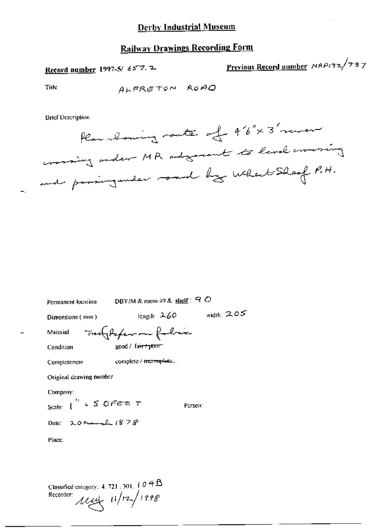Previous Record number MRP132/737 Record number 1997-5/ 657.2

ALFRETON ROAD

**Brief Description** 

Title

 $\blacksquare$ 

Plan bouning rante of 46"x 3' remer crossing under MR adgressed to level evening

| DBYIM & room 49 & shelf: $Q$ O<br>Permanent location |                                   |              |  |
|------------------------------------------------------|-----------------------------------|--------------|--|
| length: $260$<br>Dimensions (mm)                     |                                   | width: $205$ |  |
| maghter on follow<br>Material                        |                                   |              |  |
| Condition                                            | $good /$ fair $+$ prunt           |              |  |
| Completeness                                         | complete / i <del>ncomplete</del> |              |  |
| Original drawing number                              |                                   |              |  |
| Company:                                             |                                   |              |  |
| Scale: $\int_{0}^{t_1}$ = S OFEE $\tau$              |                                   | Person:      |  |
| Date: $20$ Rear $1878$                               |                                   |              |  |
| Place:                                               |                                   |              |  |
|                                                      |                                   |              |  |
|                                                      |                                   |              |  |

Classified category: 4, 721, 301,  $\int \theta \, 4B$ Recorder:  $\mu$   $\mu$   $\mu$   $\frac{1}{2}$  (228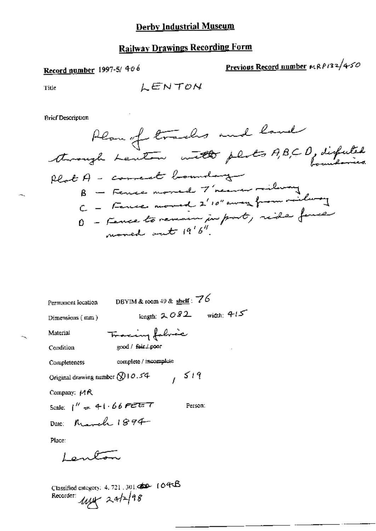# **Railway Drawings Recording Form**

# Record number 1997-5/406

Previous Record number HRP132/450

Title

 $\sim$   $\sim$ 

**Brief Description** 

| DBYIM & room 49 & $\frac{\text{sheif}}{2}$ : 76<br>Permanent location |
|-----------------------------------------------------------------------|
| width: $4/5$<br>length: $2082$<br>Dimensions (mm)                     |
| Tracing followe<br>Material                                           |
| good / fair / poor<br>Condition                                       |
| complete / incomplete<br>Completeness                                 |
| 1519<br>Original drawing number Q 10.54                               |
| Company: $M$ $R$                                                      |
| Scale: $1'' = 41.66$ FEET<br>Person:                                  |
| Date: March 1894                                                      |
| Place:                                                                |
| سيستكرمهما                                                            |
| $\mathbf{L}$ $\mathbf{A}$ $\mathbf{A}$                                |

Classified category:  $4.721,301$   $\bigoplus$   $104$   $\bigoplus$ Recorder:  $\mu x$  24/2/98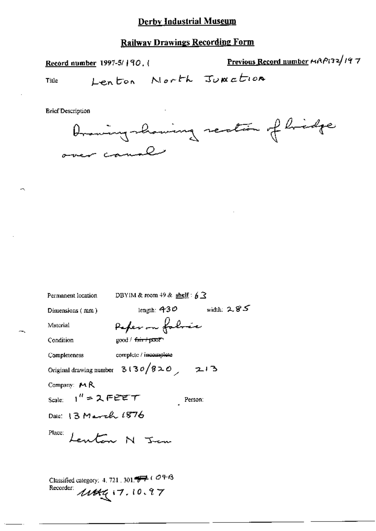# **Railway Drawings Recording Form**

Record number 1997-5/190.

Previous Record number HAP132/197

Title

Lenton North Junction

**Brief Description** 



Permanent location DBYIM & room 49 & shelf :  $6\overline{3}$ 

Dimensions (mm)

length:  $430$  width:  $285$ 

Material

Peper on folose  $good / f<sub>air</sub> + p<sub>W</sub>$ 

Condition

complete / incomplete Completeness

Original drawing number  $3130/820$  213

Company: MR

Scale:  $1''$  = 2 FEET Person:

Date: 13 March 1876

Place:

Lenton N Jem

Classified category: 4, 721, 301.  $\overrightarrow{9}$  (  $\overrightarrow{O}$  +  $\overrightarrow{6}$ Recorder:  $1144$  $(7.10.97)$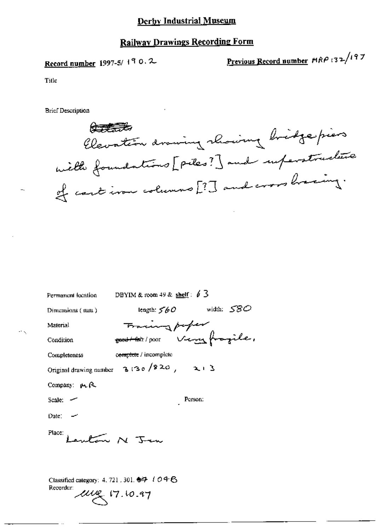### **Railway Drawings Recording Form**

Record number 1997-5/190.2

Previous Record number MRP 132/197

Title

**Brief Description** 

传表我 Elevation drawing rhowing bridge piers with foundations [ piles ? ] and superstructure of cartinan columns [?] and cross having.

| Permanent location DBYIM & room 49 & shelf : $\oint$ 3 |                                              |  |
|--------------------------------------------------------|----------------------------------------------|--|
| Dimensions (mm)                                        | length: $50$ width: $580$                    |  |
| Material                                               | Fracing paper                                |  |
| Condition                                              |                                              |  |
| Completeness                                           | complete / incomplete                        |  |
|                                                        | Original drawing number $3.30 / 20$ , $21.3$ |  |
| Company: $\mu$ , $\beta$                               |                                              |  |
| Scale: -                                               | Person:                                      |  |
| Date: $-$                                              |                                              |  |
| Place: Lautan N Jan                                    |                                              |  |
|                                                        |                                              |  |

Classified category: 4, 721, 301. 多子 / 〇 午 6 Recorder:  $200 - 17.10 - 97$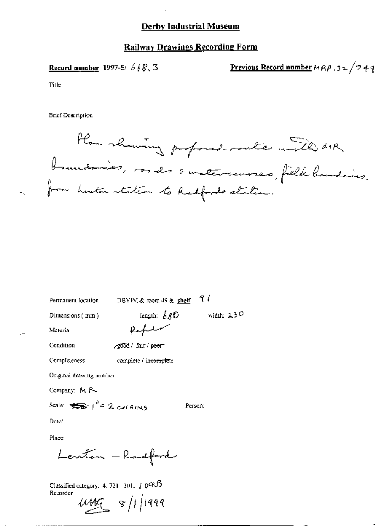#### **Railway Drawings Recording Form**

Record number 1997-5/  $668.3$ 

Previous Record number  $MRP$  132/749

Title

**Brief Description** 

How rhowing proposed route will dir. boundaries, roads & untercourses, field bandaires.<br>from herton station to Radfords station.

Permanent location

DBYIM & room 49 & shelf:  $7 l$ 

Person:

Dimensions (mm)

length:  $680$  width: 230 Poplar

complete / incomplete

Condition

Material

-good / fair / peer

Completeness

Original drawing number

Company: MR-

Scale:  $\sum_{i=1}^n 1^{i} = 2$  cHAINS

Date:

Place:

Lenton - Radford

Classified category:  $4.721.301.7045$ Recorder.

 $\mu_{\text{MC}}$   $s/1/1999$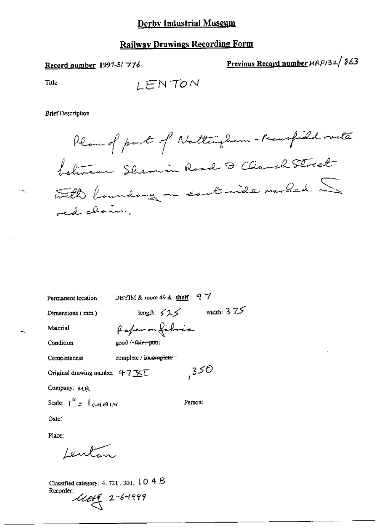# **Railway Drawings Recording Form**

Record number 1997-5/776

Previous Record number HRP132/863

Title

 $\mathcal{D}_{\mathcal{A}}$ 

∸,

LENTON

**Brief Description** 

Plan of part of Nattingham - Mansfield route felincen Shermin Road & Charch Street with boundary on cart ride marked  $\leq$ od chain.

| Permanent location                    | DBYIM & room 49 $\&$ shelf: $97$ |
|---------------------------------------|----------------------------------|
| Dimensions (mm)                       | width: $375$<br>length: $525$    |
| Material                              | Paper on fabric                  |
| Condition                             | good / -fair + poor              |
| Completeness                          | complete / incomplete-           |
| Original drawing number $47\sqrt{11}$ | ,350                             |
| Company: MR                           |                                  |
| Scale: $\int_{a}^{b} f(x) \, dx$      | Person.                          |
| Date:                                 |                                  |
| Place:                                |                                  |
| Lentan                                |                                  |

Classified category: 4, 721 , 301,  $\downarrow$  O 4  $\upbeta$ Recorder:<br> $\mathcal{U}\mathcal{U}\mathcal{U}$  2-6-1999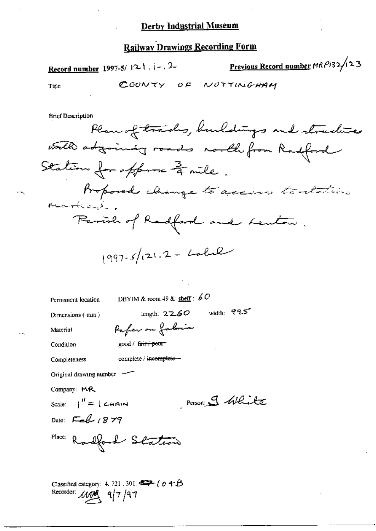### **Railway Drawings Recording Form**

Record number 1997-5/ $|2-1$ ,  $|-2$ 

Previous Record number MRP132/123

Title

COUNTY OF NOTTIMEHAM

**Brief Description** 

REau of tradus, bundles and structure  
\nwell to determine from Roofford

\nStation for a *fp*-space 
$$
\frac{3}{4}
$$
 mile

\nProporal change to access to *terdations*

\nbranched change to access to *terdations*

\nParish of Radford and Leubon

Δ

$$
(997-5)(21.2 - Lol.2)
$$

Permanent location

DBYIM & toom 49 & shelf :  $60$ 

Dimensions  $(\text{mm})$ 

length:  $2260$  width:  $995$ 

Material

good / fair / poor

Completeness

Condition

complete / incomplete -

Pafer on fabric

Original drawing number

Company: MR

Scale:  $\int_0^H f(x) \, dx$ 

Person 9 White

Date:  $\mathcal{L}_{\text{eff}}$  1879

Place: Radford Station

Classified category: 4, 721, 301,  $\iff$  (  $0.4 - \beta$ Recorder: 1100  $-q$  $/7$  /۹7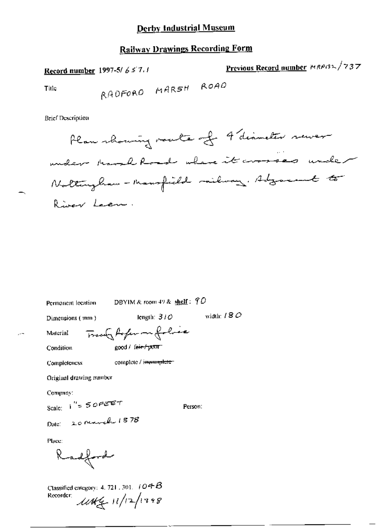# **Railway Drawings Recording Form**

Previous Record number MRPBL/737 Record number 1997-5/657.1 RADFORD MARSH ROAD Title

**Brief Description** 

Permanent location

Plan rhoming voute of 9 diameter rewer under thank Road where it crosses under Nottingham - Mansfield milway. Adjacent to River Lacre.

| Dimensions (mm)         | length: $310$         | width: $/8C$ |
|-------------------------|-----------------------|--------------|
| Material                | Trace Arfem on folice |              |
| Condition               | good / fair / pour    |              |
| Completeness            | complete / incomplete |              |
| Original drawing number |                       |              |
| Сотряцу:                |                       |              |
| Scale: $1'' = 50$ PEET  | Person:               |              |
| Date: 20 march 1878     |                       |              |
| Place:                  |                       |              |
| $\sim$                  |                       |              |

DBYIM & room 49 & shelf:  $\widehat{\mathcal{T}}$ O

Classified category: 4, 721, 301,  $104B$ Recorder:  $1044 + 11/121198$ 

Kadford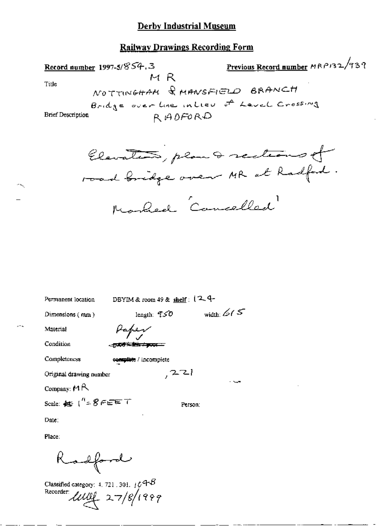### **Railway Drawings Recording Form**

Previous Record number MRP132/939 Record number 1997-5/854.3  $M$  R Ti⊔e NOTTINGHAM & MANSFIELD BRANCH Bridge over the intieu of Level Crossing RADFORD **Brief Description** 

Elevation, plan & sections of road bridge over MR at Radford. Marked Cancelled

| Permanent location                        | DBYIM & room $49$ & shelf: $(2, 4$ |                                      |
|-------------------------------------------|------------------------------------|--------------------------------------|
| Dimensions $(mn)$                         | length: $\mathcal{TSO}$            | width: $\mathcal{L} \in \mathcal{L}$ |
| Material                                  | Paper                              |                                      |
| Condition                                 | 医腹部注意的 大麦克里二                       |                                      |
| Completeness                              | complete / incomplete              |                                      |
| Original drawing number                   | , 221                              |                                      |
| Company: $M \triangle$                    |                                    |                                      |
| Scale: $45$ ( $^{\prime\prime}$ = 8 FEE T |                                    | Person:                              |

Date:

Place:

Radford

Classified category: 4, 721, 301,  $\frac{1}{6}$  H $\textcircled{\tiny{H}}$ Recorder  $\text{unit}$  27/8/1999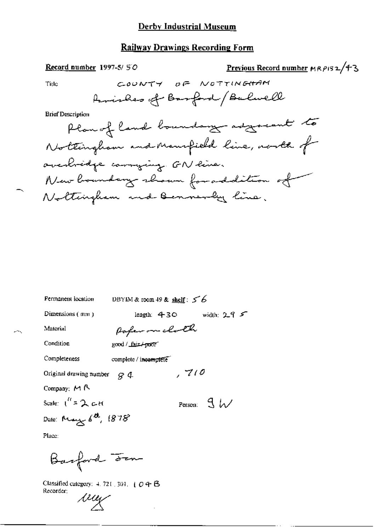| Record number $1997-5/50$ |                               | Previous Record number MRP132/43        |
|---------------------------|-------------------------------|-----------------------------------------|
| Title                     | このいんてイ                        | OF NOTTINGHAM                           |
|                           | Amishes of Basford (Balwell   |                                         |
| <b>Brief Description</b>  |                               |                                         |
|                           |                               | Plan of land boundary adgreeat to       |
|                           |                               | Nottingham and Mansfield line, north of |
|                           | overbridge correging GN live. |                                         |
|                           |                               | New boundary shown for addition of      |
|                           | Nottengham and Bennevey line. |                                         |
|                           |                               |                                         |
|                           |                               |                                         |
|                           |                               |                                         |
|                           |                               |                                         |

| Permanent location                              | DBYIM & room 49 & shelf: $56$        |
|-------------------------------------------------|--------------------------------------|
| Dimensions (mm)                                 | width: $2.9$ $\leq$<br>length: $430$ |
| Material                                        | Poper on clock                       |
| Condition                                       | good / fair/poor                     |
| Completeness                                    | complete / incomplete                |
| Original drawing number                         | 710<br>84                            |
| Company; MR                                     |                                      |
| Scale: $\int_0^R = 2 \cdot \mathcal{L} \cdot H$ | Person: $\mathcal{B}$ $\mathcal{W}$  |
| Date: May 6th, 1878                             |                                      |
| Place:                                          |                                      |

Barford Fen

 $\mathcal{L}^{\infty}$ 

Classified category: 4, 721, 301, 104B Recorder:

way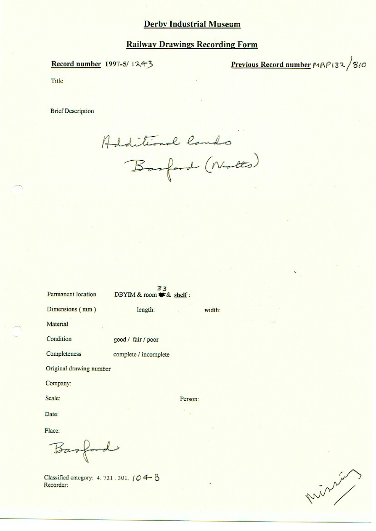#### **Railway Drawings Recording Form**

#### Record number 1997-5/1243

Previous Record number MAP132/810

Title

**Brief Description** 

Additional lands<br>Basford (Notts)

33 DBYIM & room \* & shelf:

length:

Dimensions (mm)

Permanent location

Material

Condition good / fair / poor

Completeness complete / incomplete

Original drawing number

Company:

Scale:

Person:

width:

Date:

Place:

Basford

Classified category: 4, 721, 301, 104 B Recorder:

mining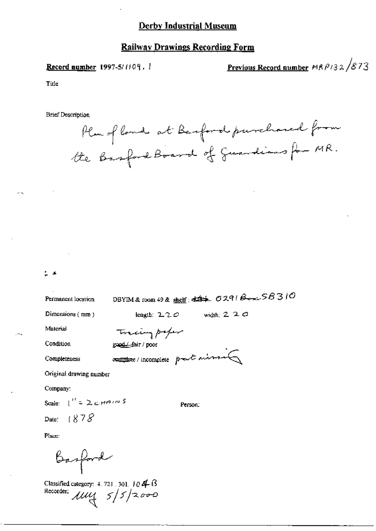#### **Record number 1997-5/1109.**

Previous Record number  $MAP/32/873$ 

Title

**Brief Description** 



| . . |  |
|-----|--|
|     |  |
|     |  |

Permanent location

DBYIM & room 49 & shelf:  $\iff$  0291  $\beta \rightarrow \text{S}8310$ 

Dimensions (mm)

length:  $2.2 \degree$  width:  $2.2 \degree$ 

Material

Tracing paper

Condition

Completeness

good/fair/poor

comptexe/incomplete post mission

Original drawing number

Company:

Scale:  $\int_{0}^{t} = \sum c H \theta t^{\alpha}$  $1878$ Date:

Person:

Place:

Basford

Classified category:  $4.721.301.104.6$ Recorder:  $\mu$  $\frac{1}{3}$  5/5/2000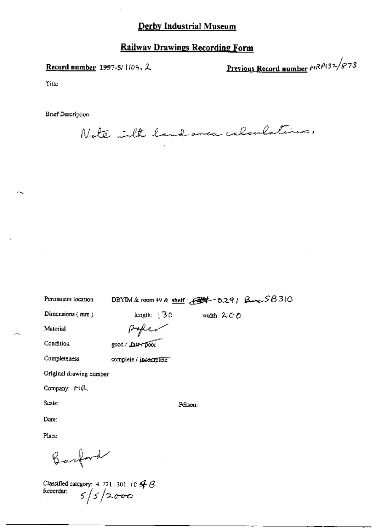### **Railway Drawings Recording Form**

#### Record number 1997-5/1109, 2

Previous Record number  $MRP(32/873)$ 

Title

**Brief Description** 

Note with land avec calculations.

Permanent location

# DBYIM & room  $49$  & shelf:  $291 - 0291$  Box  $58310$

width: 200

Dimensions (mm)

length:  $\sqrt{3}$  C Paper

Condition

Material

good / fair+poor

complete / incomplete

Completeness

Original drawing number

Company: MR

Scale:

Pérson:

Place:

Date:

Barbord

Classified category: 4.721.301.10  $\cancel{\frac{4}{5}}$   $\cancel{6}$ <br>Recorder:  $\cancel{5}$   $\cancel{2}$   $\cancel{0}$   $\cancel{0}$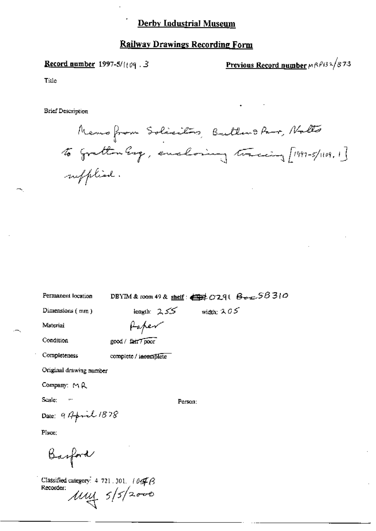#### **Railway Drawings Recording Form**

#### **Record number** 1997-5/ $(109.3)$

Previous Record number MRP132/873

Title

**Brief Description** 

Memo from Solacitos, Butters Parr, Nalto to gratten Eng, enclosing tracing [1997-5/1109,1] sufflied.

DBYIM & room 49 & shelf:  $\bigoplus$  29( $\bigoplus$   $\bigoplus$   $\bigoplus$  5B 310

Dimensions (mm)

Permanent location

length:  $255$  width:  $205$ 

Material

Paper

Condition

| good / fair / poor |  |
|--------------------|--|
|--------------------|--|

complete / incomplete

Completeness

Original drawing number

 $\overline{a}$ 

Company: MR

Scale:

Person:

Date: 917 point 1878

Place:

Barford

Classified category: 4-721.301. 104 B Recorder:  $\mu$ uy  $5/5/2000$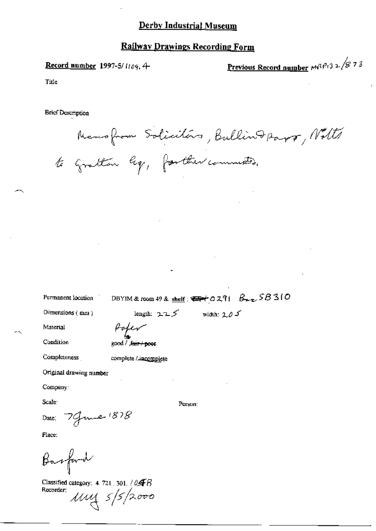Record number 1997-5/1109.4

<u>Previous Record number</u>  $M^{3/2}$ : 3 2 / 8 7 3

Title

**Brief Description** 

Newsfrom Solicitors, Bullind Papp, Notte to Gratton leg, forther commenters.

Permanent location

DBYIM & room 49 & shelf:  $\bigoplus f \circ 291$   $B_{\text{max}}$   $58310$ 

length:  $2.25$  width:  $2.05$ 

Dimensions (mm)

Material

Condition

good / .fair / poor

Poper

Completeness

complete / incomplete

Original drawing number

Company:

Scale:

Date: 7 June 1878

Place:

Basford

Classified category: 4. 721 . 301. / 04 B  $\mu$ uy  $s/s/2000$ Recorder:

Person: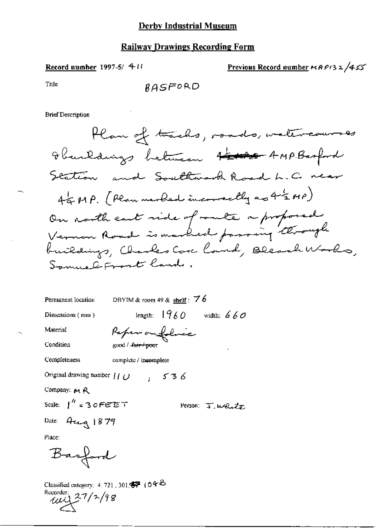#### Record number 1997-5/ 4:11

Previous Record number  $HRP/32/455$ 

Title

**Brief Description** 

Permanent location DBYIM & room 49 & shelf:  $76$ 

 $good / A<sub>thr</sub> + poor$ 

Dimensions (mm)

length:  $1960$  width:  $660$ Paper on folice

Condition

Material

Completeness complete / incomplete

Original drawing number  $\int \int \int$   $\int$  5 3 6

Company: MR

Scale:  $\int_0^{\eta}$  = 30 FEET Person: J. Wells

Date: Aug 1879

Place:

Basford

Classified category:  $4.721$ , 301,  $\blacklozenge$  (04<sup>B</sup>) Rouardon  $27/7/98$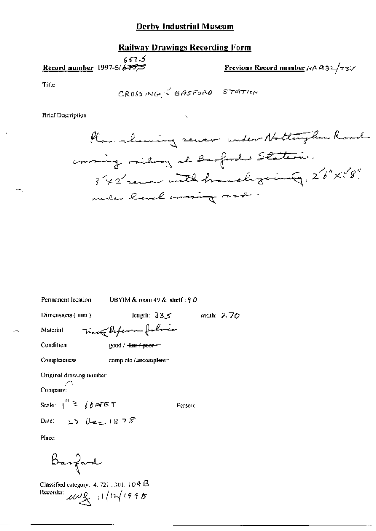# **Railway Drawings Recording Form**

57.5 ¢<br><del>Record number</del> 1997-5/<del>675</del>

Previous Record number MAA32/737

Title

CROSSING GASFORD STATION

**Brief Description** 

Plan rhowing sewer under Nottinghan Road crossing railway at Barford's Statemer. 342 remer with branch jointy, 26" X18" under land morning made.

| DBYIM & room 49 & shelf: $90$<br>Permanent location                                     |            |
|-----------------------------------------------------------------------------------------|------------|
| Dimensions (mm)<br>کے33 length: 3                                                       | width: 270 |
| Track Paper - folia<br>Material                                                         |            |
| Condition<br>good / <del>fair / poor</del>                                              |            |
| Completeness<br>complete / incomplete-                                                  |            |
| Original drawing number                                                                 |            |
| У.<br>Совирану:                                                                         |            |
| Scale: $1^{(l)} \geq \frac{1}{66}$ for $\epsilon \in \mathcal{T}$<br>Person:            |            |
| Date: $27$ bec. $1878$                                                                  |            |
| Place:                                                                                  |            |
| Barford                                                                                 |            |
| Classified category: $4.721 \pm 301.104$ $\beta$<br>Recorder:<br>$\mu$ ull $  ln $ 1998 |            |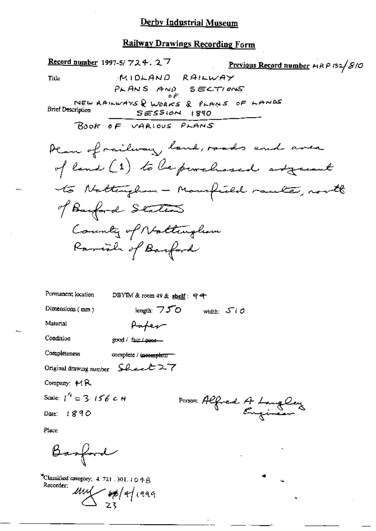| <b>Record number</b> 1997-5/ $724.27$<br>Previous Record number HRP 132/810    |
|--------------------------------------------------------------------------------|
| MIDLAND RAILWAY<br>Title                                                       |
| PLANS AND SECTIONS                                                             |
| NEW RAILWAYS & WORKS & PLANS OF LANDS                                          |
| <b>Brief Description</b><br>$SESSION$ $1890$                                   |
| BOOK OF VARIOUS PLANS                                                          |
| Plan of railway land, roads and area                                           |
| of land (1) to be purchased adjacent                                           |
| to Nattingham - Mansfield raule, north                                         |
| of Barford Staten                                                              |
| County of Nottingham                                                           |
| Rariah of Barford                                                              |
|                                                                                |
|                                                                                |
| Permanent location<br>DBYIM & room $49$ & shelf: $9$ <sup><math>-</math></sup> |
| Dimensions (mm)<br>length: $750$<br>width: $5/0$                               |
| Material<br>Paper                                                              |
| Condition<br>good / fair / poor—                                               |
| Completeness<br>complete / incomplete                                          |
| Original drawing number $\int$ beel $27$                                       |
| Company: $A$ R                                                                 |
| Scale: $1^4$ $\approx$ 3. 156 c. H                                             |
| Person Alfred A Langley<br>Date: 1890                                          |
| Place:                                                                         |
| Basford                                                                        |

¥,

<sup>2</sup>Classified category:  $4.721$ ,  $301$ ,  $1 \circ 48$ Recorder:

 $\frac{1}{23}$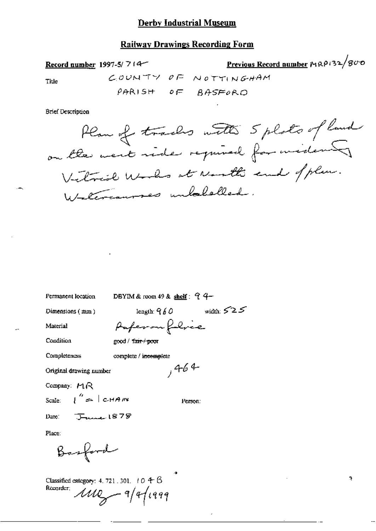#### **Railway Drawings Recording Form**

Record number 1997-5/ $714$ 

Previous Record number MRP132/800 COUNTY OF NOTTINGHAM

Title

PARISH OF BASFORD

**Brief Description** 

Plan of tracks with 5 plats of land on the west side required for widews Vitrid Works at North and of plan. Waltercourses unbeliefled.

Permanent location

DBYIM & room 49 & shelf:  $94-$ 

Dimensions (mm)

length:  $960$  width:  $525$ Paperon folice

Condition

Material

good / fair / poor

Completeness complete / incomplete

Original drawing number

Company:  $MR$ 

Scale:  $\int_{0}^{\infty}$   $\approx$   $|$  CHANY

Person:

 $,464$ 

Date:  $\sqrt{2}$  1878

Place:

Basford

Classified category: 4, 721, 301,  $+0.4-8$ Recorder;  $1110 - 9/411999$ 

J.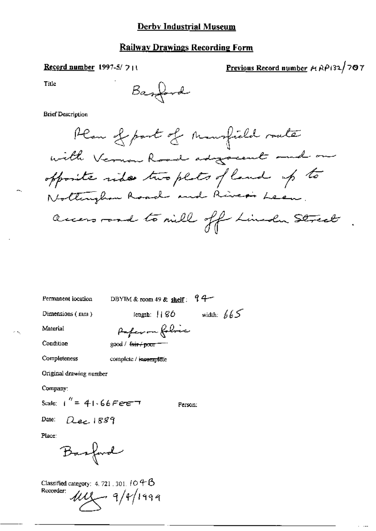Record number 1997-5/711

Previous Record number + RP132/707

Title

Barrond

#### **Brief Description**

Permanent location

DBYIM & room 49 & shelf:  $9 + 7$ 

Dimensions (mm)

length:  $||86$  width:  $665$ 

Material

 $\sim$   $\sim$ 

Condition

Reference foliace good / fair / poor

complete / incomplete

Completeness

Original drawing number

Company:

Scale:  $1'' = 41.66$ FeeT

Person:

Date:  $Q_{\text{dec}}$ 1889

Place:

Basford

Classified category: 4, 721, 301, 10 4 B Recorder:  $111 - 9/4/1999$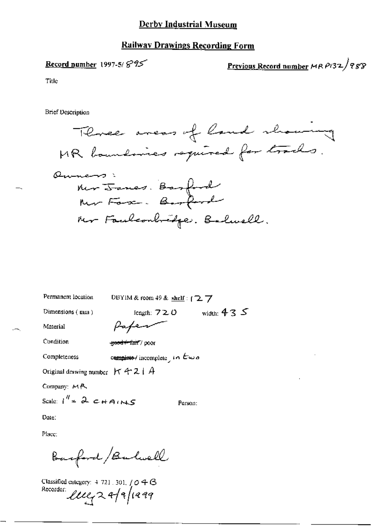#### **Railway Drawings Recording Form**

### Record number 1997-5/ $895$

Previous Record number MRP132/988

Title

**Brief Description** 



Permanent location

DBYIM & room 49 & shelf: [27

Dimensions (mm)

length:  $720$  width:  $435$ 

Person:

Material

Paper

Condition

Completeness

<del>good+fait</del>/poor

complete/incomplete in Ewo

Original drawing number  $\forall A \in \mathcal{A}$ 

Company: MR

Scale:  $1^{\frac{H}{2}}$   $2 \epsilon$  + AIN  $\epsilon$ 

Date:

Place:

Barford/Balwell

Classified category:  $4721.301, / \mathcal{O} \oplus \mathcal{O}$ Recorder luga 4/9/1999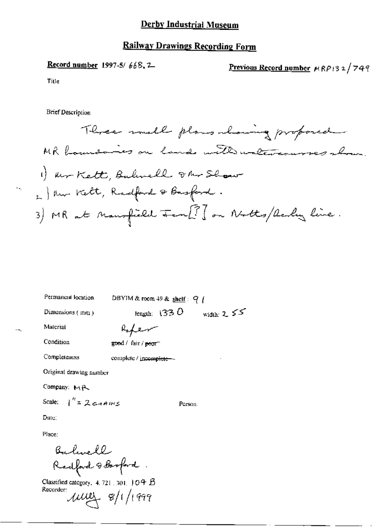# **Railway Drawings Recording Form**

# Record number 1997-5/668.2

Previous Record number MRP132/749

Title

 $-$ 

 $\cdot$ -

**Brief Description** 

| Permanent location      | DBYIM & room 49 & shelf: $q \mid$ |              |
|-------------------------|-----------------------------------|--------------|
| Dimensions (mm)         | length: $1330$                    | width: $255$ |
| Material                | Rofer                             |              |
| Condition               | good / fair / poor                |              |
| Completeness            | complete / incomplete --          |              |
| Original drawing number |                                   |              |
| Company: MR             |                                   |              |
| Scale: $1'' = 2c+10ms$  | Person.                           |              |

Date:

Place:

Bulwell<br>Radford & Borford.

Recorder:  $1000 + 8/1/1999$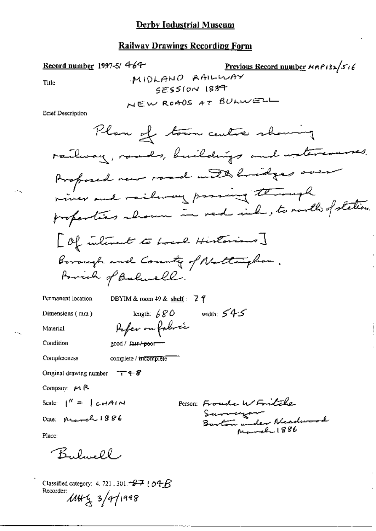#### **Railway Drawings Recording Form**

Previous Record number HRP132/516 Record number 1997-5/ $464$ MIDLAND RAILWAY Title SESSION ISST NEW ROADS AT BULWELL **Brief Description** Plan of town centre showing railway, roads, buildings and watercourses. Proposed new road with lindges over river and vailway passing through properties shown in red inh, to north of station. [Of interest to Local Historians] Borough and County of Nattingham. Forcicle of Balancell. DBYIM & room  $49$  & shelf:  $7$  9 Permanent location width:  $545$ length:  $680$ Dimensions  $(mn)$ Pofer on following Material Condition good / fair-'poor' **Completeness** complete / incomplete Original drawing number  $\tau \rightarrow 8$ Company:  $M$   $R$ Person: Froude W Fritche Scale:  $1^{\prime\prime} = 1$  chain Sammer Barton under Needwood Date: March 1886 المصبحة 1886 Place: Bulwell Classified category: 4, 721, 301,  $\approx$  7 (  $\sigma$  +  $\beta$ Recorder:<br>MH4 3/4/1998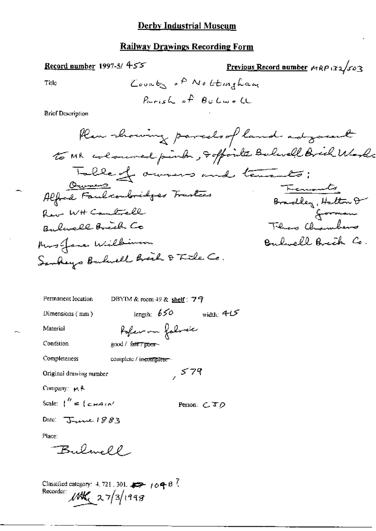Record number 1997-5/  $455$ 

Previous Record number  $MRP$  132/503

Title

**Brief Description** 

| Permanent location                           |                                  | DBYIM & room $49$ & shelf: $79$ |              |
|----------------------------------------------|----------------------------------|---------------------------------|--------------|
| Dimensions $(mn)$                            | length: $650$                    |                                 | width: $4.5$ |
| Material                                     |                                  | Poper on follow                 |              |
| Condition                                    | good / fa <del>it / poor</del> ~ |                                 |              |
| Completeness                                 | complete / incomplete -          |                                 |              |
| Original drawing number                      |                                  | , 579                           |              |
| Company: A                                   |                                  |                                 |              |
| Scale: $\int_0^{H} = \int_{C} H H^{2}/N^{2}$ |                                  |                                 | Person: こさの  |
| Date: $T$ une 1883                           |                                  |                                 |              |
| Place:                                       |                                  |                                 |              |
| Bulmell                                      |                                  |                                 |              |
|                                              |                                  |                                 |              |
|                                              |                                  |                                 |              |

Classified category: 4.721.301.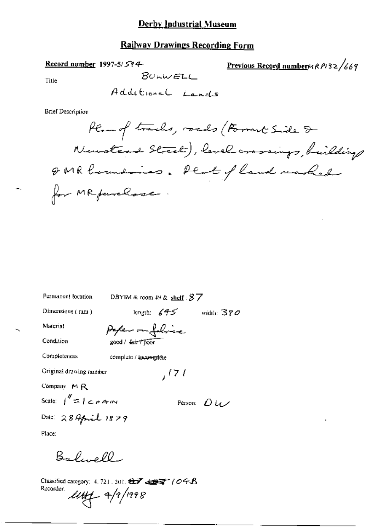### Railway Drawings Recording Form

### Record number 1997-5/ $594$

Previous Record number  $\mu$  R  $\ell$  32/669

Title

$$
BOLWELL
$$

**Brief Description** 

| Permanent location              | DBYIM & room 49 & shelf: $87$ |      |                                        |
|---------------------------------|-------------------------------|------|----------------------------------------|
| Dimensions (mm)                 | length: $645$                 |      | width: $370$                           |
| Material                        | Poper on folice               |      |                                        |
| Condition                       | good / fan 7 poor             |      |                                        |
| Completeness                    | complete / incomplete         |      |                                        |
| Original drawing number         |                               | 1/71 |                                        |
| Company, MR                     |                               |      |                                        |
| Scale: $1'' = 1 \subset H$ A IN |                               |      | Person: $\mathcal{D} \cup \mathcal{D}$ |
| Date: $289$ pril $1829$         |                               |      |                                        |
| Dinasar                         |                               |      |                                        |

Place:

ц.

Balwell

Classified category: 4.721, 301. 金子 金字(09名 Recorder.  $1147 - 4/9/1998$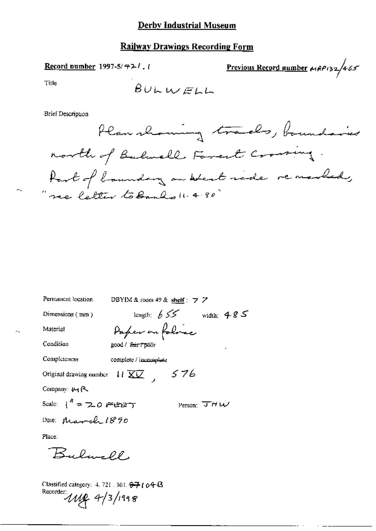### **Railway Drawings Recording Form**

Previous Record number  $\mu_1$ 8P132/465 Record number 1997-5/421. Title  $BUNWELL$ Brief Description Plan morning trades, boundaries

north of Bulmell Forest Crowning. hart of baundary on West ride remembed,<br>"ne letter to Banks 11.4.90"

| Permanent location                                                                  | DBYIM & room $49$ & shelf : $7$ $\overline{7}$        |                                |
|-------------------------------------------------------------------------------------|-------------------------------------------------------|--------------------------------|
| Dimensions $(mn)$                                                                   | length: $655$ width: $485$                            |                                |
| Material                                                                            | Paper on folice                                       |                                |
| Condition                                                                           | good / <del>fair / poo</del> r                        |                                |
| Completeness                                                                        | complete / incomplete                                 |                                |
|                                                                                     | Original drawing number $11 \overline{\text{XU}}$ 576 |                                |
| Company: 四尺                                                                         |                                                       |                                |
| Scale: $1^4$ = 2.0 FBBT                                                             |                                                       | Person: $\overline{J}$ $H$ $W$ |
| Date: March 1890                                                                    |                                                       |                                |
| Place:                                                                              |                                                       |                                |
| Bulwell,                                                                            |                                                       |                                |
| Classified category: 4, 721 . 301. <del>97</del> ( o4 B<br>Recorder: $118$ 4/3/1998 |                                                       |                                |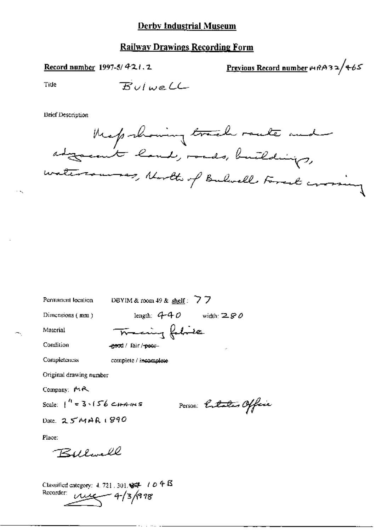Record number 1997-5/421.2

Previous Record number 14832/465

Tide

**Brief Description** 



Permanent location

DBYIM & room 49 & shelf:  $\overline{7}$  7

Dimensions (mm)

length:  $4-40$  width:  $280$ 

Material Condition

Train fabric -good / fair /-peer-

Completeness

complete / incomplete

Original drawing number

Company: MR

Scale:  $1^{n}$  = 3.156 CHAINS

Person: Entation Official

Date, 25MAR1890

Place:

Bellevell

Classified category:  $4.721$ , 301,  $\frac{127}{100}$  /  $0.48$ Recorder:  $\mu$  $\mu$  4/3/998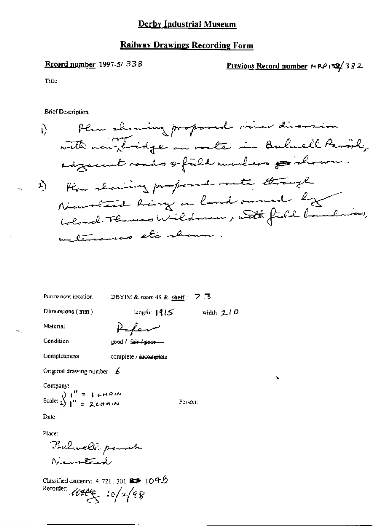### **Railway Drawings Recording Form**

#### Record number 1997-5/338

Previous Record number MRP 32/382

Title

**Brief Description** 

Permanent location

DBYIM & room 49 & shelf:  $\overline{7}$ . 3

Dimensions (mm)

length:  $|4i5$  width:  $210$ 

Person:

Material

Condition

Completeness

Alen

good / fair / poor-

complete / incomplete

Original drawing number  $\epsilon$ 

Company:

Scale:  $\lambda$ )  $\mu' = 1$  cHAIM<br>Scale:  $\lambda$ )  $\mu' = 2$ cHAIM

Date:

Place:

Bulwell point Newweter

Classified category: 4, 721, 301,  $\blacktriangleright$  109  $\beta$ Recorder:  $\mathcal{U}\mathcal{H}\mathcal{E}_{\mathcal{S}}$   $\iota \circ / \sqrt{q} g$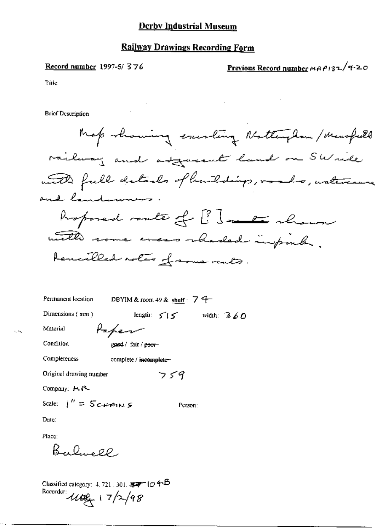#### Record number 1997-5/376

Previous Record number  $MAP132/420$ 

Title

**Brief Description** 

Map rhaming exercing Nottingham/Mansfeeld railway and adjacent land on SWride with full details of building, roads, watercome and land-women. hopmed route of ?? ] and alrow . with rome was rhaded impirely. tencilled notes of some reals.

Person:

DBYIM & room 49 & shelf:  $7 +$ Permanent location length:  $5/5$  width:  $3/60$ Dimensions (mm) Paper Material Condition good / fair / poor-Completeness complete / incomplete- $759$ Original drawing number

Company: H.R.

Scale:  $\int'' = 5c$  *HAINS* 

Date:

Place:  $R_{1}R_{2}P_{1}$ 

Classified category: 4, 721, 301,  $\sqrt[3]{7}$  ( $\phi$   $\leftrightarrow$   $\vec{B}$ Recorder  $100 + 7/2/98$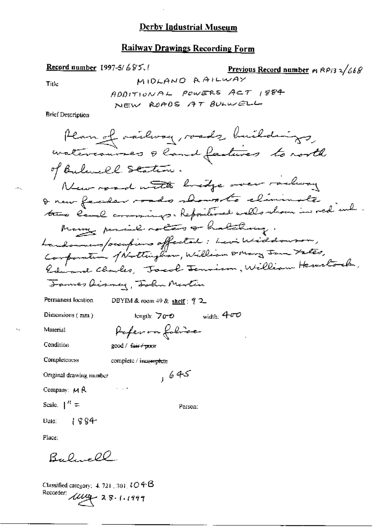# **Railway Drawings Recording Form**

Record number 1997-5/685.1 Previous Record number  $m$  RP13  $2/668$ MIDLAND RAILWAY Title ADDITIONAL POWERS ACT 1884 NEW ROADS AT BULWELL

**Brief Description** 

 $\cdot - \cdot$ 

Classified category: 4, 721, 301,  $LO$  +  $\beta$ Recorder: 11100 28-1.1999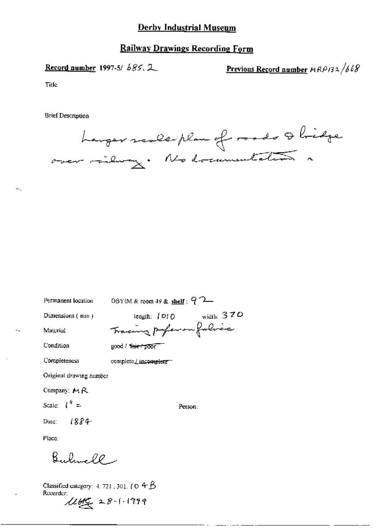### Railway Drawings Recording Form

Record number 1997-5/  $685.2$  Previous Record number  $MRP/32/668$ 

Tillc

**Brief Description** 



Permanent location DBYIM & room 49 & shelf :  $Q$   $2-$ 

Dimensions (non)  $\qquad \qquad$  length:  $\qquad \qquad$  01 0 \existing 3 7 0 Material Tracing poper on falice

Condition good / Year / poor

Completeness complete *L* incomplete<sup>-</sup>

Original drawing number

Company:  $M \, R$ 

Scale:  $1^h =$  Person:

Date:  $1884$ 

Place:

Bulmell -

Classified category:  $4.721$ ,  $301$ ,  $\ell \odot 4-\cancel{5}$ <br>Recorder:

 $\mu_{\text{H}}$  28-1-1999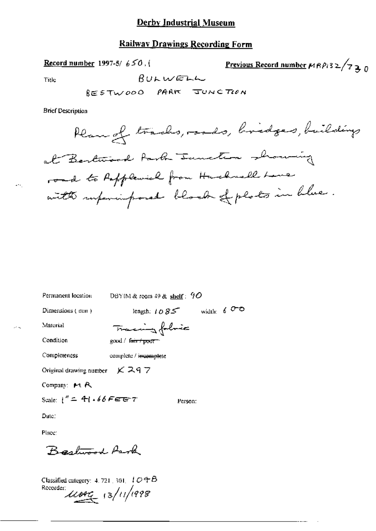### Railwav Drawings Recording Farm

Record number 1997-5/  $650$ , (

Previous Record number 
$$
\mu R \rho_i 3 2 / 7
$$
 3 0

 $P_{\text{tr}} \sim 80 \text{K} \cdot 10^{-4} \text{m}$ 

 $\overline{a}$ 

 $825$  TWOOD PARK JUNCTION

Brief Description

\_eaAN% 5- Q,,\_,, 14/ x A-¢8»\_' »~»w/w@-~/2-F~~ ""M\*"'"'"?" 4%"-M1 M41 .

Permanent location DBYIM & reom 49 & shelf :  $90$ Dimensions (mm) length:  $1 \, \partial \, \mathcal{B} \leq \qquad \text{width:} \quad 6 \, \overline{\text{O}}$ Material <del>Tracing folic</del> Condition good / fmit + poor" Completeness complete / incomplete Original drawing number  $KZ97$ Company: M R Scale:  $i'' = 4i \cdot 66$  FEET Person: Date: Place: Bestwood Arock

Classified category: 4, 721 , 301,  $LO 4B$  $rac{Rccorder}{dt}$  13/11/1998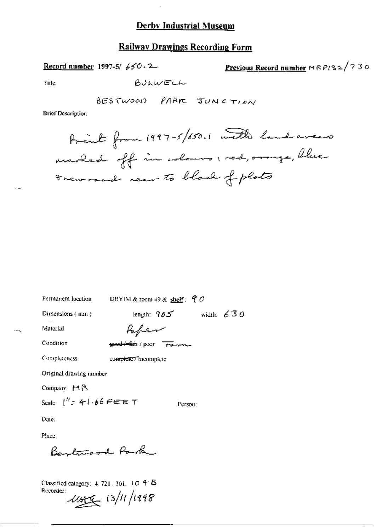### **Railway Drawings Recording Form**

Record number 1997-5/ $650.2$ 

Previous Record number  $MRP/32/730$ 

Title

BULWELL

BESTWOOD PARK JUNCTION

**Brief Description** 

Permanent location

DBYIM & room 49 & shelf:  $90$ 

Dimensions (mm)

length:  $905$  width:  $630$ 

Person:

Material

 $\ddotsc$ 

Paper

Condition

good fair / poor Ferme

Completeness

complete7 incomplete

Original drawing number

Company: MR

Scale:  $\int_0^{H} z_1 + 1.66$  FEET

Date:

Place.

Bentwood Park

Classified category: 4, 721, 301, 10 4 B Recorder: 145 13/11/1998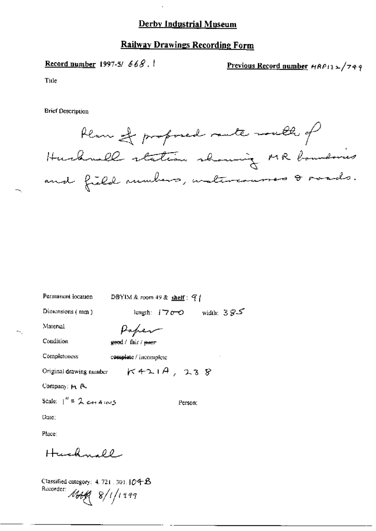### **Railway Drawings Recording Form**

Record number 1997-5/668.

Previous Record number  $HAP132/749$ 

Title

**Brief Description** 

Plan of proposed rante-south of Hurhmall station showing MR boundaries and field numbers, unatureamment & mands.

Permanent location DBYIM & room 49 & shelf:  $9$  (

Dimensions  $(mn)$ 

length:  $1700$  width:  $385$ 

Person:

 $K421A, 238$ 

Material

Paper

Condition

Completeness

geed / fair / ener

complete / incomplete

Original drawing number

Company: M. R.

Scale:  $\int_0^R = 2cH A \cos \theta$ 

Date:

Place:

Huchmell

Classified category:  $4.721 \cdot 301.104B$ Recorder: 1449 8/1/1999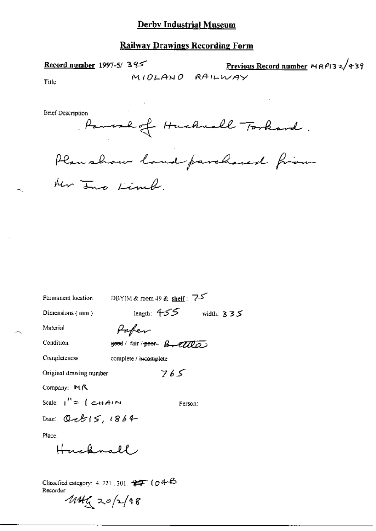### **Railway Drawings Recording Form**

Record number 1997-5/395

Previous Record number  $MRP$ (32/439) MIDLAND RAILWAY

Title

**Brief Description** 

Parcel of Huchwall Torkard.

Plan show land parchased from

Ner Ino Limb.

| Permanent location       | DBYIM & room 49 & shelf: $75$                                          |              |
|--------------------------|------------------------------------------------------------------------|--------------|
| Dimensions $(mn)$        | length: 455                                                            | width: $335$ |
| Material                 | Pafer                                                                  |              |
| Condition                | good/fair/peor B.EIILO                                                 |              |
| Completeness             | complete / incomplete                                                  |              |
| Original drawing number  | 765                                                                    |              |
| Company: MR              |                                                                        |              |
| Scale: $1'' = 1$ c-HAIN  | Person:                                                                |              |
| Date: $Q$ ct $ S, 1864 $ |                                                                        |              |
| Place:                   |                                                                        |              |
| Hughnall                 |                                                                        |              |
|                          |                                                                        |              |
| Recorder:                | Classified category: 4, 721, 301, $\frac{1}{2}$ ( $\sigma$ 4- $\Theta$ |              |
| $444 = 20/2/98$          |                                                                        |              |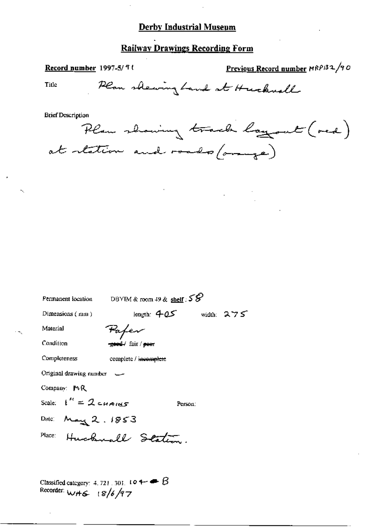# Railway Drawings Recording Form

| Record number 1997-5/91                     |                                           | Previous Record number MRPB2/90  |
|---------------------------------------------|-------------------------------------------|----------------------------------|
| Title                                       |                                           | Plan shewing hand at Huckwell    |
| <b>Brief Description</b>                    | at retation and roads/orange)             | Plan showing track loggout (red) |
|                                             |                                           |                                  |
|                                             |                                           |                                  |
|                                             |                                           |                                  |
| Permanent location                          | DBYIM & room 49 & shelf : $55^{\circ}$    |                                  |
| Dimensions (mm)                             | length: $405$                             | width: $275$                     |
| Material                                    | Pafev                                     |                                  |
| Condition                                   | <del>-good /</del> fair / <del>poor</del> |                                  |
| Completeness                                | complete / incomplete                     |                                  |
| Original drawing number –                   |                                           |                                  |
| Company: MR                                 |                                           |                                  |
| Scale: $t'' = 2 \epsilon u_{A1} \epsilon s$ | Person:                                   |                                  |
| Date: $M = 2.1853$                          |                                           |                                  |
|                                             | Place: Huckwall Station.                  |                                  |
|                                             |                                           |                                  |

Classified category: 4.721.301.104  $\rightarrow$   $\beta$ <br>Recorder:  $w + \epsilon$  ( $8/6/97$ 

 $\mathbf{h}_{\mathbf{t}_i}$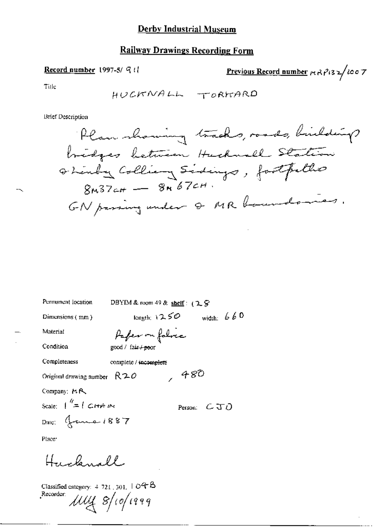### **Railway Drawings Recording Form**

Record number 1997-5/ 9tl

Previous Record number  $r_1$   $\frac{2}{3}$   $\frac{2}{3}$   $\frac{2}{3}$   $\frac{1}{2}$   $\frac{1}{6}$   $\frac{1}{6}$   $\frac{1}{7}$ 

Title

HUCKNALL TORKARD

**Brief Description** 

DBYIM & room 49 & shelf:  $(2.8)$ Permanent location width:  $660$ longth:  $1250$ Dimensions (mm) Paper on folice Material Condition good / fair / poor Completeness complete / incomplete 480 Original drawing number  $R20$ Company: MR Scale:  $\int_{0}^{\eta} = \int C H r A r N t$ Person:  $CJ$ Date: Grand 1887 Place<sup>®</sup> Hucknall

Classified category:  $4-721$ ,  $301$ ,  $1 + O4 + B$ Recorder:  $\mu$ uy  $s$ /10/1999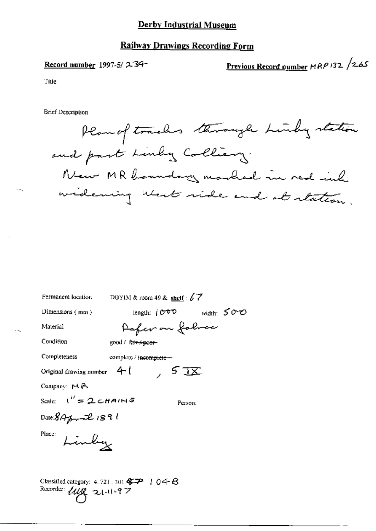### **Railway Drawings Recording Form**

#### Record number 1997-5/2-34-

Previous Record number MRP 132 /265

Title

**Brief Description** 

Plan of tracks through Linky station and part Linky Colliany. New MR boundary marked in red inh widering West side and at station.

| Permanent location             | DBYIM & room 49 & shelf: $67$                                                                                                     |  |
|--------------------------------|-----------------------------------------------------------------------------------------------------------------------------------|--|
| Dimensions $(mn)$              | width: 500<br>lenguh: $i\sigma$ t $\nu$                                                                                           |  |
| Material                       | Pafer on folver                                                                                                                   |  |
| Condition                      | good / fair / poer-                                                                                                               |  |
| Completeness                   | complete / incomplete --                                                                                                          |  |
| Original drawing number $4-1$  | ्र, 5 <u>18</u>                                                                                                                   |  |
| Company: $M \uparrow$          |                                                                                                                                   |  |
| Scale: $1'' = 2 \text{CHAINS}$ | Person:                                                                                                                           |  |
| Date $8A$ for $2\ell$ 1891     |                                                                                                                                   |  |
| Place:<br>Linby                |                                                                                                                                   |  |
| Recorder: $\mu\mu$ 21-11-97    | Classified category: 4, 721 , 301 $\mathbf{\$}\mathbf{\mathcal{P}}$ + 0 $\mathbf{\mathcal{q}}\mathbf{\oplus}\mathbf{\mathcal{B}}$ |  |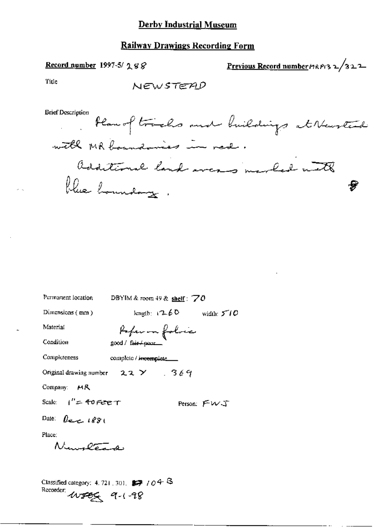### **Railway Drawings Recording Form**

### Record number 1997-5/  $288$

Previous Record number MRP132/322

Title

NEWSTEAD

**Brief Description** 

Han of tracks and buildings at Newsted with MR boundaries in red. additional land areas marked with blue hommdaug. 8

| Permanent location                                                                         | DBYIM & room 49 & shelf: $70$                |             |
|--------------------------------------------------------------------------------------------|----------------------------------------------|-------------|
| Dimensions (mm)                                                                            | length: $(2.60 \text{ width: } 5^{\circ}/0)$ |             |
| Material                                                                                   | Poper on folice                              |             |
| Condition                                                                                  | good / fair / poor_                          |             |
| Completeness                                                                               | complete / incomplete                        |             |
|                                                                                            | Original drawing number $22 \times 369$      |             |
| Company: $MR$                                                                              |                                              |             |
| Scale: $1'' = 40$ Fere $T$                                                                 |                                              | Person: FWJ |
| Date: $\theta$ and $1881$                                                                  |                                              |             |
| Place:                                                                                     |                                              |             |
| Numeta                                                                                     |                                              |             |
|                                                                                            |                                              |             |
| Classified category: 4, 721, 301, $\mathbb{Z}$ /04 $\mathbb{R}$<br>Recorder: 11-02C 9.1-90 |                                              |             |